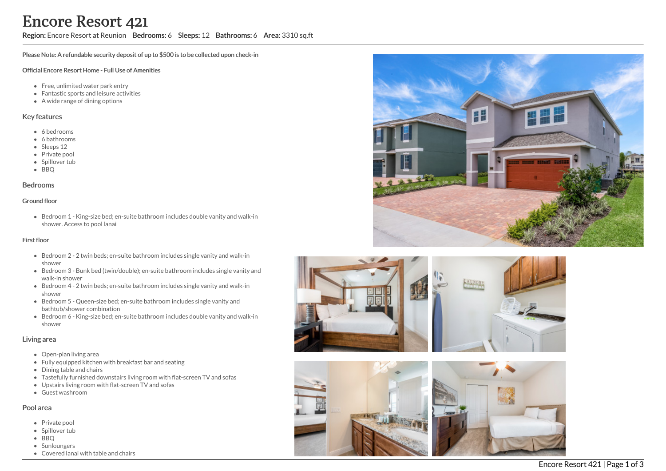## Region: Encore Resort at Reunion Bedrooms: 6 Sleeps: 12 Bathrooms: 6 Area: 3310 sq.ft

Please Note: A refundable security deposit of up to \$500 is to be collected upon check-in

### Official Encore Resort Home - Full Use of Amenities

- Free, unlimited water park entry
- Fantastic sports and leisure activities
- A wide range of dining options

### Key features

- 6 bedrooms
- 6 bathrooms
- Sleeps 12
- Private pool
- Spillover tub
- BBQ

#### Bedrooms

#### Ground floor

Bedroom 1 - King-size bed; en-suite bathroom includes double vanity and walk-in shower. Access to pool lanai

### First floor

- Bedroom 2 2 twin beds; en-suite bathroom includes single vanity and walk-in shower
- Bedroom 3 Bunk bed (twin/double); en-suite bathroom includes single vanity and walk-in shower
- Bedroom 4 2 twin beds; en-suite bathroom includes single vanity and walk-in shower
- Bedroom 5 Queen-size bed; en-suite bathroom includes single vanity and bathtub/shower combination
- Bedroom 6 King-size bed; en-suite bathroom includes double vanity and walk-in shower

### Living area

- Open-plan living area
- Fully equipped kitchen with breakfast bar and seating
- Dining table and chairs
- Tastefully furnished downstairs living room with flat-screen TV and sofas
- Upstairs living room with flat-screen TV and sofas
- Guest washroom

## Pool area

- Private pool
- Spillover tub
- BBQ
- Sunloungers
- Covered lanai with table and chairs





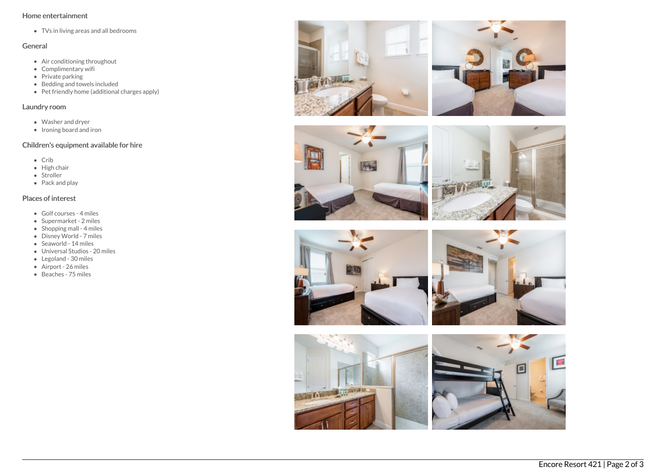## Home entertainment

TVs in living areas and all bedrooms

# General

- Air conditioning throughout
- Complimentary wifi
- $\bullet$  Private parking
- Bedding and towels included
- Pet friendly home (additional charges apply)

## Laundry room

- Washer and dryer
- Ironing board and iron

# Children's equipment available for hire

- Crib
- High chair
- Stroller
- Pack and play

# Places of interest

- Golf courses 4 miles
- Supermarket 2 miles
- $\bullet$  Shopping mall 4 miles
- Disney World 7 miles
- Seaworld 14 miles
- Universal Studios 20 miles
- Legoland 30 miles
- Airport 26 miles
- Beaches 75 miles